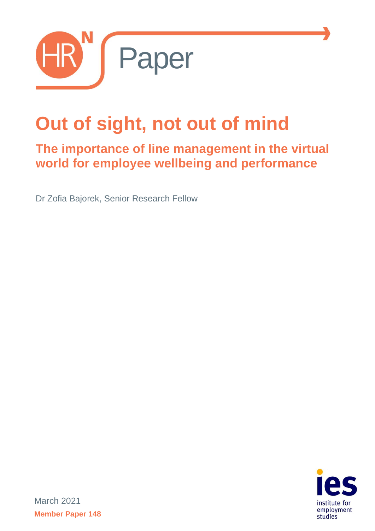

# **Out of sight, not out of mind**

# **The importance of line management in the virtual world for employee wellbeing and performance**

Dr Zofia Bajorek, Senior Research Fellow



March 2021 **Member Paper 148**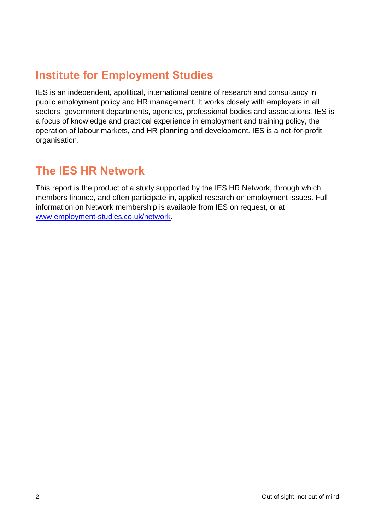## **Institute for Employment Studies**

IES is an independent, apolitical, international centre of research and consultancy in public employment policy and HR management. It works closely with employers in all sectors, government departments, agencies, professional bodies and associations. IES is a focus of knowledge and practical experience in employment and training policy, the operation of labour markets, and HR planning and development. IES is a not-for-profit organisation.

#### **The IES HR Network**

This report is the product of a study supported by the IES HR Network, through which members finance, and often participate in, applied research on employment issues. Full information on Network membership is available from IES on request, or at [www.employment-studies.co.uk/network.](http://www.employment-studies.co.uk/network)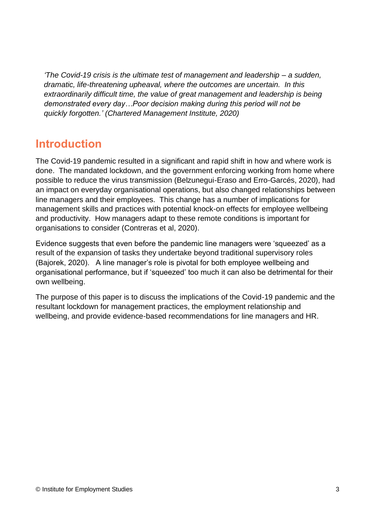*'The Covid-19 crisis is the ultimate test of management and leadership – a sudden, dramatic, life-threatening upheaval, where the outcomes are uncertain. In this extraordinarily difficult time, the value of great management and leadership is being demonstrated every day…Poor decision making during this period will not be quickly forgotten.' (Chartered Management Institute, 2020)*

#### **Introduction**

The Covid-19 pandemic resulted in a significant and rapid shift in how and where work is done. The mandated lockdown, and the government enforcing working from home where possible to reduce the virus transmission (Belzunegui-Eraso and Erro-Garcés, 2020), had an impact on everyday organisational operations, but also changed relationships between line managers and their employees. This change has a number of implications for management skills and practices with potential knock-on effects for employee wellbeing and productivity. How managers adapt to these remote conditions is important for organisations to consider (Contreras et al, 2020).

Evidence suggests that even before the pandemic line managers were 'squeezed' as a result of the expansion of tasks they undertake beyond traditional supervisory roles (Bajorek, 2020). A line manager's role is pivotal for both employee wellbeing and organisational performance, but if 'squeezed' too much it can also be detrimental for their own wellbeing.

The purpose of this paper is to discuss the implications of the Covid-19 pandemic and the resultant lockdown for management practices, the employment relationship and wellbeing, and provide evidence-based recommendations for line managers and HR.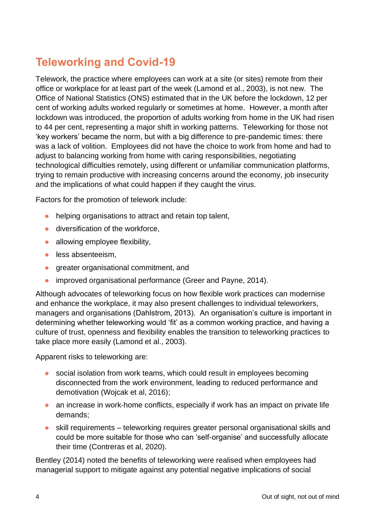## **Teleworking and Covid-19**

Telework, the practice where employees can work at a site (or sites) remote from their office or workplace for at least part of the week (Lamond et al., 2003), is not new. The Office of National Statistics (ONS) estimated that in the UK before the lockdown, 12 per cent of working adults worked regularly or sometimes at home. However, a month after lockdown was introduced, the proportion of adults working from home in the UK had risen to 44 per cent, representing a major shift in working patterns. Teleworking for those not 'key workers' became the norm, but with a big difference to pre-pandemic times: there was a lack of volition. Employees did not have the choice to work from home and had to adjust to balancing working from home with caring responsibilities, negotiating technological difficulties remotely, using different or unfamiliar communication platforms, trying to remain productive with increasing concerns around the economy, job insecurity and the implications of what could happen if they caught the virus.

Factors for the promotion of telework include:

- **●** helping organisations to attract and retain top talent,
- **●** diversification of the workforce,
- **●** allowing employee flexibility,
- **●** less absenteeism,
- **●** greater organisational commitment, and
- **●** improved organisational performance (Greer and Payne, 2014).

Although advocates of teleworking focus on how flexible work practices can modernise and enhance the workplace, it may also present challenges to individual teleworkers, managers and organisations (Dahlstrom, 2013). An organisation's culture is important in determining whether teleworking would 'fit' as a common working practice, and having a culture of trust, openness and flexibility enables the transition to teleworking practices to take place more easily (Lamond et al., 2003).

Apparent risks to teleworking are:

- **●** social isolation from work teams, which could result in employees becoming disconnected from the work environment, leading to reduced performance and demotivation (Wojcak et al, 2016);
- an increase in work-home conflicts, especially if work has an impact on private life demands;
- **●** skill requirements teleworking requires greater personal organisational skills and could be more suitable for those who can 'self-organise' and successfully allocate their time (Contreras et al, 2020).

Bentley (2014) noted the benefits of teleworking were realised when employees had managerial support to mitigate against any potential negative implications of social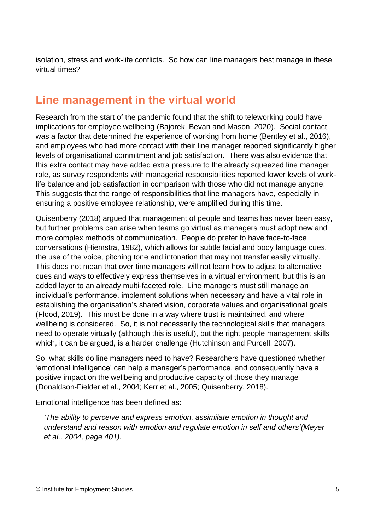isolation, stress and work-life conflicts. So how can line managers best manage in these virtual times?

#### **Line management in the virtual world**

Research from the start of the pandemic found that the shift to teleworking could have implications for employee wellbeing (Bajorek, Bevan and Mason, 2020). Social contact was a factor that determined the experience of working from home (Bentley et al., 2016), and employees who had more contact with their line manager reported significantly higher levels of organisational commitment and job satisfaction. There was also evidence that this extra contact may have added extra pressure to the already squeezed line manager role, as survey respondents with managerial responsibilities reported lower levels of worklife balance and job satisfaction in comparison with those who did not manage anyone. This suggests that the range of responsibilities that line managers have, especially in ensuring a positive employee relationship, were amplified during this time.

Quisenberry (2018) argued that management of people and teams has never been easy, but further problems can arise when teams go virtual as managers must adopt new and more complex methods of communication. People do prefer to have face-to-face conversations (Hiemstra, 1982), which allows for subtle facial and body language cues, the use of the voice, pitching tone and intonation that may not transfer easily virtually. This does not mean that over time managers will not learn how to adjust to alternative cues and ways to effectively express themselves in a virtual environment, but this is an added layer to an already multi-faceted role. Line managers must still manage an individual's performance, implement solutions when necessary and have a vital role in establishing the organisation's shared vision, corporate values and organisational goals (Flood, 2019). This must be done in a way where trust is maintained, and where wellbeing is considered. So, it is not necessarily the technological skills that managers need to operate virtually (although this is useful), but the right people management skills which, it can be argued, is a harder challenge (Hutchinson and Purcell, 2007).

So, what skills do line managers need to have? Researchers have questioned whether 'emotional intelligence' can help a manager's performance, and consequently have a positive impact on the wellbeing and productive capacity of those they manage (Donaldson-Fielder et al., 2004; Kerr et al., 2005; Quisenberry, 2018).

Emotional intelligence has been defined as:

*'The ability to perceive and express emotion, assimilate emotion in thought and understand and reason with emotion and regulate emotion in self and others'(Meyer et al., 2004, page 401).*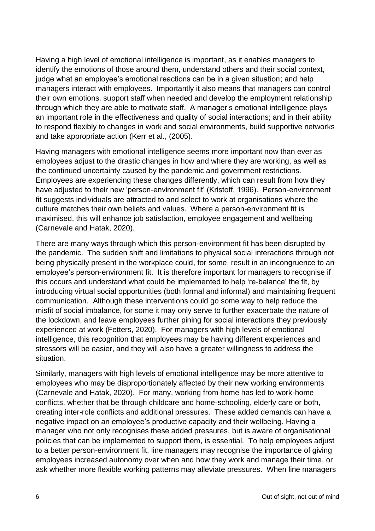Having a high level of emotional intelligence is important, as it enables managers to identify the emotions of those around them, understand others and their social context, judge what an employee's emotional reactions can be in a given situation; and help managers interact with employees. Importantly it also means that managers can control their own emotions, support staff when needed and develop the employment relationship through which they are able to motivate staff. A manager's emotional intelligence plays an important role in the effectiveness and quality of social interactions; and in their ability to respond flexibly to changes in work and social environments, build supportive networks and take appropriate action (Kerr et al., (2005).

Having managers with emotional intelligence seems more important now than ever as employees adjust to the drastic changes in how and where they are working, as well as the continued uncertainty caused by the pandemic and government restrictions. Employees are experiencing these changes differently, which can result from how they have adjusted to their new 'person-environment fit' (Kristoff, 1996). Person-environment fit suggests individuals are attracted to and select to work at organisations where the culture matches their own beliefs and values. Where a person-environment fit is maximised, this will enhance job satisfaction, employee engagement and wellbeing (Carnevale and Hatak, 2020).

There are many ways through which this person-environment fit has been disrupted by the pandemic. The sudden shift and limitations to physical social interactions through not being physically present in the workplace could, for some, result in an incongruence to an employee's person-environment fit. It is therefore important for managers to recognise if this occurs and understand what could be implemented to help 're-balance' the fit, by introducing virtual social opportunities (both formal and informal) and maintaining frequent communication. Although these interventions could go some way to help reduce the misfit of social imbalance, for some it may only serve to further exacerbate the nature of the lockdown, and leave employees further pining for social interactions they previously experienced at work (Fetters, 2020). For managers with high levels of emotional intelligence, this recognition that employees may be having different experiences and stressors will be easier, and they will also have a greater willingness to address the situation.

Similarly, managers with high levels of emotional intelligence may be more attentive to employees who may be disproportionately affected by their new working environments (Carnevale and Hatak, 2020). For many, working from home has led to work-home conflicts, whether that be through childcare and home-schooling, elderly care or both, creating inter-role conflicts and additional pressures. These added demands can have a negative impact on an employee's productive capacity and their wellbeing. Having a manager who not only recognises these added pressures, but is aware of organisational policies that can be implemented to support them, is essential. To help employees adjust to a better person-environment fit, line managers may recognise the importance of giving employees increased autonomy over when and how they work and manage their time, or ask whether more flexible working patterns may alleviate pressures. When line managers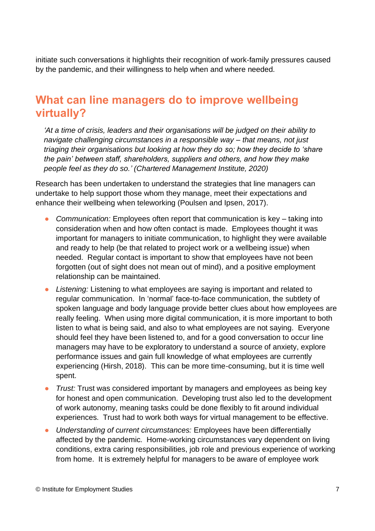initiate such conversations it highlights their recognition of work-family pressures caused by the pandemic, and their willingness to help when and where needed.

#### **What can line managers do to improve wellbeing virtually?**

*'At a time of crisis, leaders and their organisations will be judged on their ability to navigate challenging circumstances in a responsible way – that means, not just triaging their organisations but looking at how they do so; how they decide to 'share the pain' between staff, shareholders, suppliers and others, and how they make people feel as they do so.' (Chartered Management Institute, 2020)*

Research has been undertaken to understand the strategies that line managers can undertake to help support those whom they manage, meet their expectations and enhance their wellbeing when teleworking (Poulsen and Ipsen, 2017).

- **●** *Communication:* Employees often report that communication is key taking into consideration when and how often contact is made. Employees thought it was important for managers to initiate communication, to highlight they were available and ready to help (be that related to project work or a wellbeing issue) when needed. Regular contact is important to show that employees have not been forgotten (out of sight does not mean out of mind), and a positive employment relationship can be maintained.
- **●** *Listening:* Listening to what employees are saying is important and related to regular communication. In 'normal' face-to-face communication, the subtlety of spoken language and body language provide better clues about how employees are really feeling. When using more digital communication, it is more important to both listen to what is being said, and also to what employees are not saying. Everyone should feel they have been listened to, and for a good conversation to occur line managers may have to be exploratory to understand a source of anxiety, explore performance issues and gain full knowledge of what employees are currently experiencing (Hirsh, 2018). This can be more time-consuming, but it is time well spent.
- **●** *Trust:* Trust was considered important by managers and employees as being key for honest and open communication. Developing trust also led to the development of work autonomy, meaning tasks could be done flexibly to fit around individual experiences. Trust had to work both ways for virtual management to be effective.
- **●** *Understanding of current circumstances:* Employees have been differentially affected by the pandemic. Home-working circumstances vary dependent on living conditions, extra caring responsibilities, job role and previous experience of working from home. It is extremely helpful for managers to be aware of employee work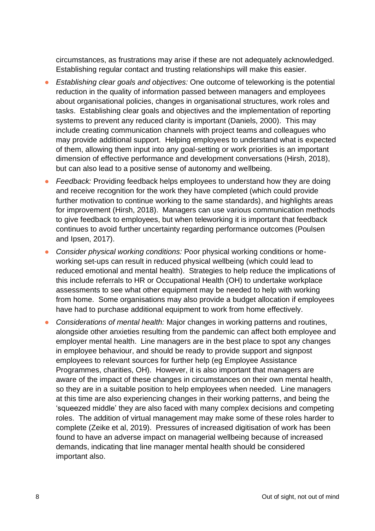circumstances, as frustrations may arise if these are not adequately acknowledged. Establishing regular contact and trusting relationships will make this easier.

- **●** *Establishing clear goals and objectives:* One outcome of teleworking is the potential reduction in the quality of information passed between managers and employees about organisational policies, changes in organisational structures, work roles and tasks. Establishing clear goals and objectives and the implementation of reporting systems to prevent any reduced clarity is important (Daniels, 2000). This may include creating communication channels with project teams and colleagues who may provide additional support. Helping employees to understand what is expected of them, allowing them input into any goal-setting or work priorities is an important dimension of effective performance and development conversations (Hirsh, 2018), but can also lead to a positive sense of autonomy and wellbeing.
- *Feedback:* Providing feedback helps employees to understand how they are doing and receive recognition for the work they have completed (which could provide further motivation to continue working to the same standards), and highlights areas for improvement (Hirsh, 2018). Managers can use various communication methods to give feedback to employees, but when teleworking it is important that feedback continues to avoid further uncertainty regarding performance outcomes (Poulsen and Ipsen, 2017).
- **●** *Consider physical working conditions:* Poor physical working conditions or homeworking set-ups can result in reduced physical wellbeing (which could lead to reduced emotional and mental health). Strategies to help reduce the implications of this include referrals to HR or Occupational Health (OH) to undertake workplace assessments to see what other equipment may be needed to help with working from home. Some organisations may also provide a budget allocation if employees have had to purchase additional equipment to work from home effectively.
- **●** *Considerations of mental health:* Major changes in working patterns and routines, alongside other anxieties resulting from the pandemic can affect both employee and employer mental health. Line managers are in the best place to spot any changes in employee behaviour, and should be ready to provide support and signpost employees to relevant sources for further help (eg Employee Assistance Programmes, charities, OH). However, it is also important that managers are aware of the impact of these changes in circumstances on their own mental health, so they are in a suitable position to help employees when needed. Line managers at this time are also experiencing changes in their working patterns, and being the 'squeezed middle' they are also faced with many complex decisions and competing roles. The addition of virtual management may make some of these roles harder to complete (Zeike et al, 2019). Pressures of increased digitisation of work has been found to have an adverse impact on managerial wellbeing because of increased demands, indicating that line manager mental health should be considered important also.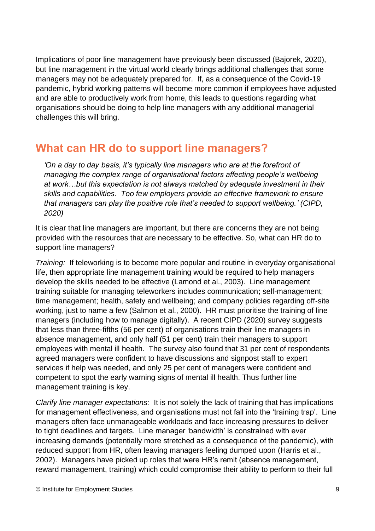Implications of poor line management have previously been discussed (Bajorek, 2020), but line management in the virtual world clearly brings additional challenges that some managers may not be adequately prepared for. If, as a consequence of the Covid-19 pandemic, hybrid working patterns will become more common if employees have adjusted and are able to productively work from home, this leads to questions regarding what organisations should be doing to help line managers with any additional managerial challenges this will bring.

#### **What can HR do to support line managers?**

*'On a day to day basis, it's typically line managers who are at the forefront of managing the complex range of organisational factors affecting people's wellbeing at work…but this expectation is not always matched by adequate investment in their skills and capabilities. Too few employers provide an effective framework to ensure that managers can play the positive role that's needed to support wellbeing.' (CIPD, 2020)*

It is clear that line managers are important, but there are concerns they are not being provided with the resources that are necessary to be effective. So, what can HR do to support line managers?

*Training:* If teleworking is to become more popular and routine in everyday organisational life, then appropriate line management training would be required to help managers develop the skills needed to be effective (Lamond et al., 2003). Line management training suitable for managing teleworkers includes communication; self-management; time management; health, safety and wellbeing; and company policies regarding off-site working, just to name a few (Salmon et al., 2000). HR must prioritise the training of line managers (including how to manage digitally). A recent CIPD (2020) survey suggests that less than three-fifths (56 per cent) of organisations train their line managers in absence management, and only half (51 per cent) train their managers to support employees with mental ill health. The survey also found that 31 per cent of respondents agreed managers were confident to have discussions and signpost staff to expert services if help was needed, and only 25 per cent of managers were confident and competent to spot the early warning signs of mental ill health. Thus further line management training is key.

*Clarify line manager expectations:* It is not solely the lack of training that has implications for management effectiveness, and organisations must not fall into the 'training trap'. Line managers often face unmanageable workloads and face increasing pressures to deliver to tight deadlines and targets. Line manager 'bandwidth' is constrained with ever increasing demands (potentially more stretched as a consequence of the pandemic), with reduced support from HR, often leaving managers feeling dumped upon (Harris et al., 2002). Managers have picked up roles that were HR's remit (absence management, reward management, training) which could compromise their ability to perform to their full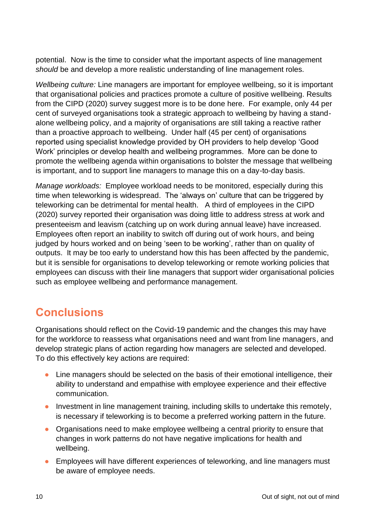potential. Now is the time to consider what the important aspects of line management *should* be and develop a more realistic understanding of line management roles.

*Wellbeing culture:* Line managers are important for employee wellbeing, so it is important that organisational policies and practices promote a culture of positive wellbeing. Results from the CIPD (2020) survey suggest more is to be done here. For example, only 44 per cent of surveyed organisations took a strategic approach to wellbeing by having a standalone wellbeing policy, and a majority of organisations are still taking a reactive rather than a proactive approach to wellbeing. Under half (45 per cent) of organisations reported using specialist knowledge provided by OH providers to help develop 'Good Work' principles or develop health and wellbeing programmes. More can be done to promote the wellbeing agenda within organisations to bolster the message that wellbeing is important, and to support line managers to manage this on a day-to-day basis.

*Manage workloads:* Employee workload needs to be monitored, especially during this time when teleworking is widespread. The 'always on' culture that can be triggered by teleworking can be detrimental for mental health. A third of employees in the CIPD (2020) survey reported their organisation was doing little to address stress at work and presenteeism and leavism (catching up on work during annual leave) have increased. Employees often report an inability to switch off during out of work hours, and being judged by hours worked and on being 'seen to be working', rather than on quality of outputs. It may be too early to understand how this has been affected by the pandemic, but it is sensible for organisations to develop teleworking or remote working policies that employees can discuss with their line managers that support wider organisational policies such as employee wellbeing and performance management.

### **Conclusions**

Organisations should reflect on the Covid-19 pandemic and the changes this may have for the workforce to reassess what organisations need and want from line managers, and develop strategic plans of action regarding how managers are selected and developed. To do this effectively key actions are required:

- **●** Line managers should be selected on the basis of their emotional intelligence, their ability to understand and empathise with employee experience and their effective communication.
- **●** Investment in line management training, including skills to undertake this remotely, is necessary if teleworking is to become a preferred working pattern in the future.
- **●** Organisations need to make employee wellbeing a central priority to ensure that changes in work patterns do not have negative implications for health and wellbeing.
- **●** Employees will have different experiences of teleworking, and line managers must be aware of employee needs.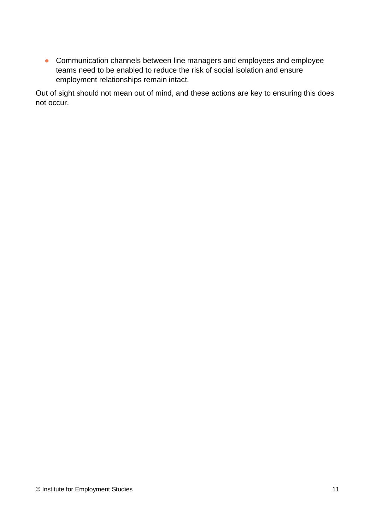**•** Communication channels between line managers and employees and employee teams need to be enabled to reduce the risk of social isolation and ensure employment relationships remain intact.

Out of sight should not mean out of mind, and these actions are key to ensuring this does not occur.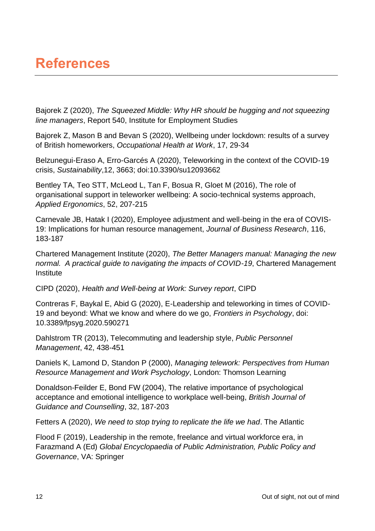# **References**

Bajorek Z (2020), *The Squeezed Middle: Why HR should be hugging and not squeezing line managers*, Report 540, Institute for Employment Studies

Bajorek Z, Mason B and Bevan S (2020), Wellbeing under lockdown: results of a survey of British homeworkers, *Occupational Health at Work*, 17, 29-34

Belzunegui-Eraso A, Erro-Garcés A (2020), Teleworking in the context of the COVID-19 crisis, *Sustainability*,12, 3663; doi:10.3390/su12093662

Bentley TA, Teo STT, McLeod L, Tan F, Bosua R, Gloet M (2016), The role of organisational support in teleworker wellbeing: A socio-technical systems approach, *Applied Ergonomics*, 52, 207-215

Carnevale JB, Hatak I (2020), Employee adjustment and well-being in the era of COVIS-19: Implications for human resource management, *Journal of Business Research*, 116, 183-187

Chartered Management Institute (2020), *The Better Managers manual: Managing the new normal. A practical guide to navigating the impacts of COVID-19*, Chartered Management **Institute** 

CIPD (2020), *Health and Well-being at Work: Survey report*, CIPD

Contreras F, Baykal E, Abid G (2020), E-Leadership and teleworking in times of COVID-19 and beyond: What we know and where do we go, *Frontiers in Psychology*, doi: 10.3389/fpsyg.2020.590271

Dahlstrom TR (2013), Telecommuting and leadership style, *Public Personnel Management*, 42, 438-451

Daniels K, Lamond D, Standon P (2000), *Managing telework: Perspectives from Human Resource Management and Work Psychology*, London: Thomson Learning

Donaldson-Feilder E, Bond FW (2004), The relative importance of psychological acceptance and emotional intelligence to workplace well-being, *British Journal of Guidance and Counselling*, 32, 187-203

Fetters A (2020), *We need to stop trying to replicate the life we had*. The Atlantic

Flood F (2019), Leadership in the remote, freelance and virtual workforce era, in Farazmand A (Ed) *Global Encyclopaedia of Public Administration, Public Policy and Governance*, VA: Springer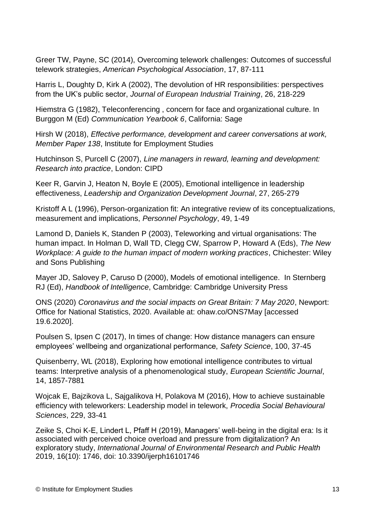Greer TW, Payne, SC (2014), Overcoming telework challenges: Outcomes of successful telework strategies, *American Psychological Association*, 17, 87-111

Harris L, Doughty D, Kirk A (2002), The devolution of HR responsibilities: perspectives from the UK's public sector, *Journal of European Industrial Training*, 26, 218-229

Hiemstra G (1982), Teleconferencing , concern for face and organizational culture. In Burggon M (Ed) *Communication Yearbook 6*, California: Sage

Hirsh W (2018), *Effective performance, development and career conversations at work, Member Paper 138*, Institute for Employment Studies

Hutchinson S, Purcell C (2007), *Line managers in reward, learning and development: Research into practice*, London: CIPD

Keer R, Garvin J, Heaton N, Boyle E (2005), Emotional intelligence in leadership effectiveness, *Leadership and Organization Development Journal*, 27, 265-279

Kristoff A L (1996), Person-organization fit: An integrative review of its conceptualizations, measurement and implications, *Personnel Psychology*, 49, 1-49

Lamond D, Daniels K, Standen P (2003), Teleworking and virtual organisations: The human impact. In Holman D, Wall TD, Clegg CW, Sparrow P, Howard A (Eds), *The New Workplace: A guide to the human impact of modern working practices*, Chichester: Wiley and Sons Publishing

Mayer JD, Salovey P, Caruso D (2000), Models of emotional intelligence. In Sternberg RJ (Ed), *Handbook of Intelligence*, Cambridge: Cambridge University Press

ONS (2020) *Coronavirus and the social impacts on Great Britain: 7 May 2020*, Newport: Office for National Statistics, 2020. Available at: ohaw.co/ONS7May [accessed 19.6.2020].

Poulsen S, Ipsen C (2017), In times of change: How distance managers can ensure employees' wellbeing and organizational performance, *Safety Science*, 100, 37-45

Quisenberry, WL (2018), Exploring how emotional intelligence contributes to virtual teams: Interpretive analysis of a phenomenological study, *European Scientific Journal*, 14, 1857-7881

Wojcak E, Bajzikova L, Sajgalikova H, Polakova M (2016), How to achieve sustainable efficiency with teleworkers: Leadership model in telework, *Procedia Social Behavioural Sciences*, 229, 33-41

Zeike S, Choi K-E, Lindert L, Pfaff H (2019), Managers' well-being in the digital era: Is it associated with perceived choice overload and pressure from digitalization? An exploratory study, *International Journal of Environmental Research and Public Health* 2019, 16(10): 1746, doi: [10.3390/ijerph16101746](https://dx.doi.org/10.3390%2Fijerph16101746)